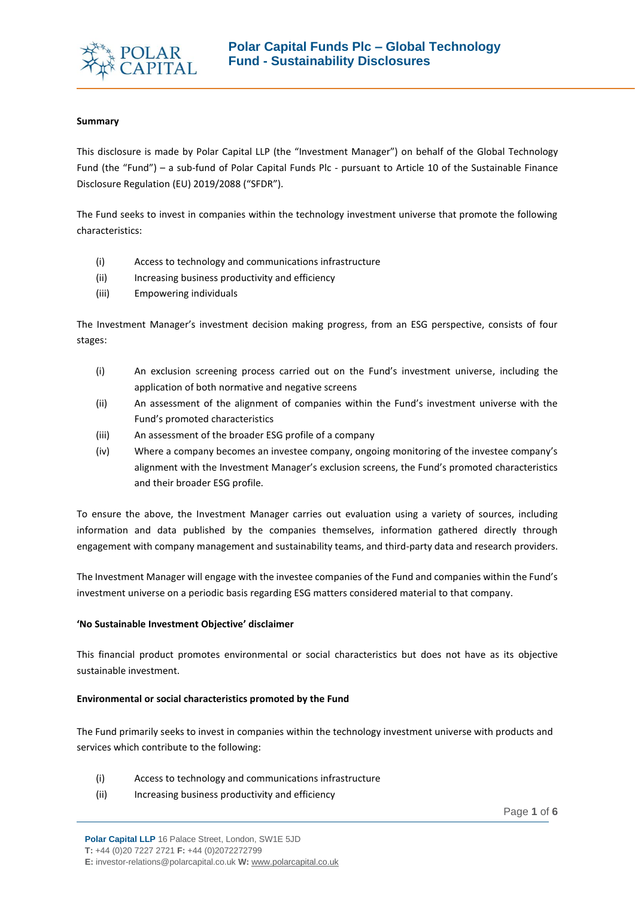

## **Summary**

This disclosure is made by Polar Capital LLP (the "Investment Manager") on behalf of the Global Technology Fund (the "Fund") – a sub-fund of Polar Capital Funds Plc - pursuant to Article 10 of the Sustainable Finance Disclosure Regulation (EU) 2019/2088 ("SFDR").

The Fund seeks to invest in companies within the technology investment universe that promote the following characteristics:

(i) Access to technology and communications infrastructure

2020

- (ii) Increasing business productivity and efficiency
- (iii) Empowering individuals

The Investment Manager's investment decision making progress, from an ESG perspective, consists of four stages:

- (i) An exclusion screening process carried out on the Fund's investment universe, including the application of both normative and negative screens
- (ii) An assessment of the alignment of companies within the Fund's investment universe with the Fund's promoted characteristics
- (iii) An assessment of the broader ESG profile of a company
- (iv) Where a company becomes an investee company, ongoing monitoring of the investee company's alignment with the Investment Manager's exclusion screens, the Fund's promoted characteristics and their broader ESG profile.

To ensure the above, the Investment Manager carries out evaluation using a variety of sources, including information and data published by the companies themselves, information gathered directly through engagement with company management and sustainability teams, and third-party data and research providers.

The Investment Manager will engage with the investee companies of the Fund and companies within the Fund's investment universe on a periodic basis regarding ESG matters considered material to that company.

## **'No Sustainable Investment Objective' disclaimer**

This financial product promotes environmental or social characteristics but does not have as its objective sustainable investment.

## **Environmental or social characteristics promoted by the Fund**

The Fund primarily seeks to invest in companies within the technology investment universe with products and services which contribute to the following:

- (i) Access to technology and communications infrastructure
- (ii) Increasing business productivity and efficiency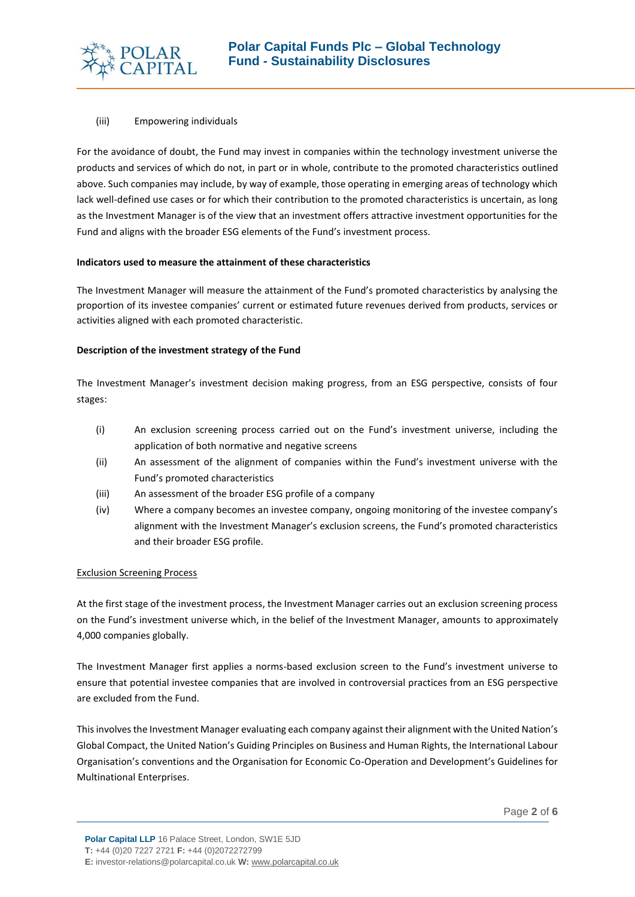

#### (iii) Empowering individuals

For the avoidance of doubt, the Fund may invest in companies within the technology investment universe the products and services of which do not, in part or in whole, contribute to the promoted characteristics outlined above. Such companies may include, by way of example, those operating in emerging areas of technology which lack well-defined use cases or for which their contribution to the promoted characteristics is uncertain, as long as the Investment Manager is of the view that an investment offers attractive investment opportunities for the Fund and aligns with the broader ESG elements of the Fund's investment process.

#### **Indicators used to measure the attainment of these characteristics**

2020

The Investment Manager will measure the attainment of the Fund's promoted characteristics by analysing the proportion of its investee companies' current or estimated future revenues derived from products, services or activities aligned with each promoted characteristic.

## **Description of the investment strategy of the Fund**

The Investment Manager's investment decision making progress, from an ESG perspective, consists of four stages:

- (i) An exclusion screening process carried out on the Fund's investment universe, including the application of both normative and negative screens
- (ii) An assessment of the alignment of companies within the Fund's investment universe with the Fund's promoted characteristics
- (iii) An assessment of the broader ESG profile of a company
- (iv) Where a company becomes an investee company, ongoing monitoring of the investee company's alignment with the Investment Manager's exclusion screens, the Fund's promoted characteristics and their broader ESG profile.

## Exclusion Screening Process

At the first stage of the investment process, the Investment Manager carries out an exclusion screening process on the Fund's investment universe which, in the belief of the Investment Manager, amounts to approximately 4,000 companies globally.

The Investment Manager first applies a norms-based exclusion screen to the Fund's investment universe to ensure that potential investee companies that are involved in controversial practices from an ESG perspective are excluded from the Fund.

This involves the Investment Manager evaluating each company against their alignment with the United Nation's Global Compact, the United Nation's Guiding Principles on Business and Human Rights, the International Labour Organisation's conventions and the Organisation for Economic Co-Operation and Development's Guidelines for Multinational Enterprises.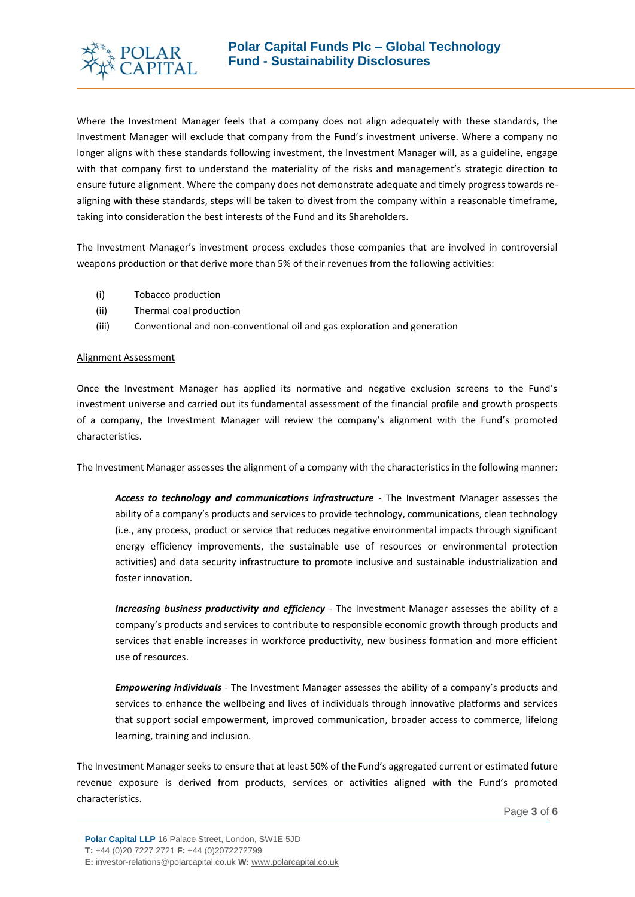

Where the Investment Manager feels that a company does not align adequately with these standards, the Investment Manager will exclude that company from the Fund's investment universe. Where a company no longer aligns with these standards following investment, the Investment Manager will, as a guideline, engage with that company first to understand the materiality of the risks and management's strategic direction to ensure future alignment. Where the company does not demonstrate adequate and timely progress towards realigning with these standards, steps will be taken to divest from the company within a reasonable timeframe, taking into consideration the best interests of the Fund and its Shareholders.

The Investment Manager's investment process excludes those companies that are involved in controversial weapons production or that derive more than 5% of their revenues from the following activities:

- (i) Tobacco production
- (ii) Thermal coal production
- (iii) Conventional and non-conventional oil and gas exploration and generation

2020

## Alignment Assessment

Once the Investment Manager has applied its normative and negative exclusion screens to the Fund's investment universe and carried out its fundamental assessment of the financial profile and growth prospects of a company, the Investment Manager will review the company's alignment with the Fund's promoted characteristics.

The Investment Manager assesses the alignment of a company with the characteristics in the following manner:

*Access to technology and communications infrastructure* - The Investment Manager assesses the ability of a company's products and services to provide technology, communications, clean technology (i.e., any process, product or service that reduces negative environmental impacts through significant energy efficiency improvements, the sustainable use of resources or environmental protection activities) and data security infrastructure to promote inclusive and sustainable industrialization and foster innovation.

*Increasing business productivity and efficiency* - The Investment Manager assesses the ability of a company's products and services to contribute to responsible economic growth through products and services that enable increases in workforce productivity, new business formation and more efficient use of resources.

*Empowering individuals -* The Investment Manager assesses the ability of a company's products and services to enhance the wellbeing and lives of individuals through innovative platforms and services that support social empowerment, improved communication, broader access to commerce, lifelong learning, training and inclusion.

The Investment Manager seeks to ensure that at least 50% of the Fund's aggregated current or estimated future revenue exposure is derived from products, services or activities aligned with the Fund's promoted characteristics.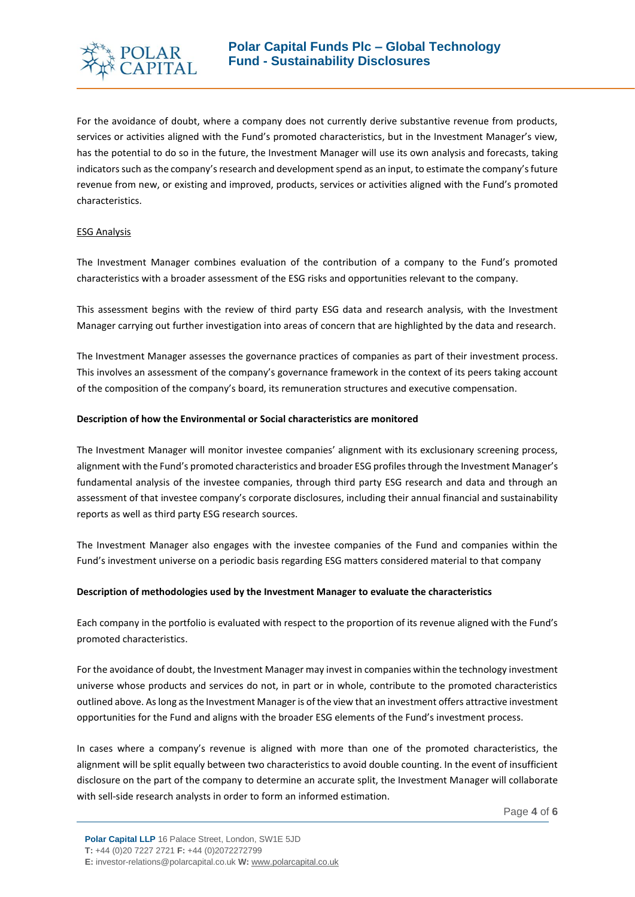

For the avoidance of doubt, where a company does not currently derive substantive revenue from products, services or activities aligned with the Fund's promoted characteristics, but in the Investment Manager's view, has the potential to do so in the future, the Investment Manager will use its own analysis and forecasts, taking indicators such as the company's research and development spend as an input, to estimate the company's future revenue from new, or existing and improved, products, services or activities aligned with the Fund's promoted characteristics.

## ESG Analysis

The Investment Manager combines evaluation of the contribution of a company to the Fund's promoted characteristics with a broader assessment of the ESG risks and opportunities relevant to the company.

This assessment begins with the review of third party ESG data and research analysis, with the Investment Manager carrying out further investigation into areas of concern that are highlighted by the data and research.

The Investment Manager assesses the governance practices of companies as part of their investment process. This involves an assessment of the company's governance framework in the context of its peers taking account of the composition of the company's board, its remuneration structures and executive compensation.

## **Description of how the Environmental or Social characteristics are monitored**

2020

The Investment Manager will monitor investee companies' alignment with its exclusionary screening process, alignment with the Fund's promoted characteristics and broader ESG profiles through the Investment Manager's fundamental analysis of the investee companies, through third party ESG research and data and through an assessment of that investee company's corporate disclosures, including their annual financial and sustainability reports as well as third party ESG research sources.

The Investment Manager also engages with the investee companies of the Fund and companies within the Fund's investment universe on a periodic basis regarding ESG matters considered material to that company

# **Description of methodologies used by the Investment Manager to evaluate the characteristics**

Each company in the portfolio is evaluated with respect to the proportion of its revenue aligned with the Fund's promoted characteristics.

For the avoidance of doubt, the Investment Manager may invest in companies within the technology investment universe whose products and services do not, in part or in whole, contribute to the promoted characteristics outlined above. As long as the Investment Manager is of the view that an investment offers attractive investment opportunities for the Fund and aligns with the broader ESG elements of the Fund's investment process.

In cases where a company's revenue is aligned with more than one of the promoted characteristics, the alignment will be split equally between two characteristics to avoid double counting. In the event of insufficient disclosure on the part of the company to determine an accurate split, the Investment Manager will collaborate with sell-side research analysts in order to form an informed estimation.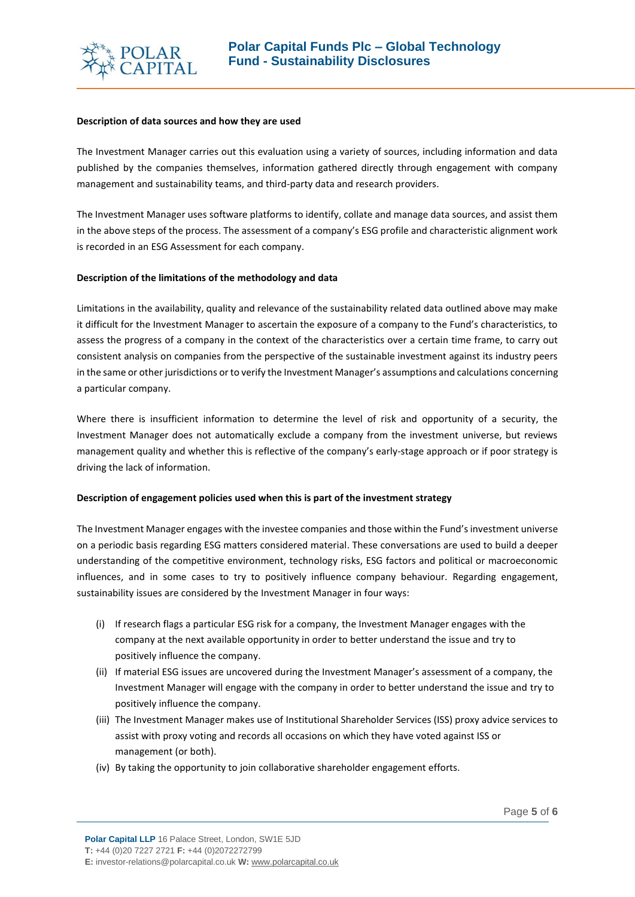

#### **Description of data sources and how they are used**

2020

The Investment Manager carries out this evaluation using a variety of sources, including information and data published by the companies themselves, information gathered directly through engagement with company management and sustainability teams, and third-party data and research providers.

The Investment Manager uses software platforms to identify, collate and manage data sources, and assist them in the above steps of the process. The assessment of a company's ESG profile and characteristic alignment work is recorded in an ESG Assessment for each company.

## **Description of the limitations of the methodology and data**

Limitations in the availability, quality and relevance of the sustainability related data outlined above may make it difficult for the Investment Manager to ascertain the exposure of a company to the Fund's characteristics, to assess the progress of a company in the context of the characteristics over a certain time frame, to carry out consistent analysis on companies from the perspective of the sustainable investment against its industry peers in the same or other jurisdictions or to verify the Investment Manager's assumptions and calculations concerning a particular company.

Where there is insufficient information to determine the level of risk and opportunity of a security, the Investment Manager does not automatically exclude a company from the investment universe, but reviews management quality and whether this is reflective of the company's early-stage approach or if poor strategy is driving the lack of information.

## **Description of engagement policies used when this is part of the investment strategy**

The Investment Manager engages with the investee companies and those within the Fund's investment universe on a periodic basis regarding ESG matters considered material. These conversations are used to build a deeper understanding of the competitive environment, technology risks, ESG factors and political or macroeconomic influences, and in some cases to try to positively influence company behaviour. Regarding engagement, sustainability issues are considered by the Investment Manager in four ways:

- (i) If research flags a particular ESG risk for a company, the Investment Manager engages with the company at the next available opportunity in order to better understand the issue and try to positively influence the company.
- (ii) If material ESG issues are uncovered during the Investment Manager's assessment of a company, the Investment Manager will engage with the company in order to better understand the issue and try to positively influence the company.
- (iii) The Investment Manager makes use of Institutional Shareholder Services (ISS) proxy advice services to assist with proxy voting and records all occasions on which they have voted against ISS or management (or both).
- (iv) By taking the opportunity to join collaborative shareholder engagement efforts.